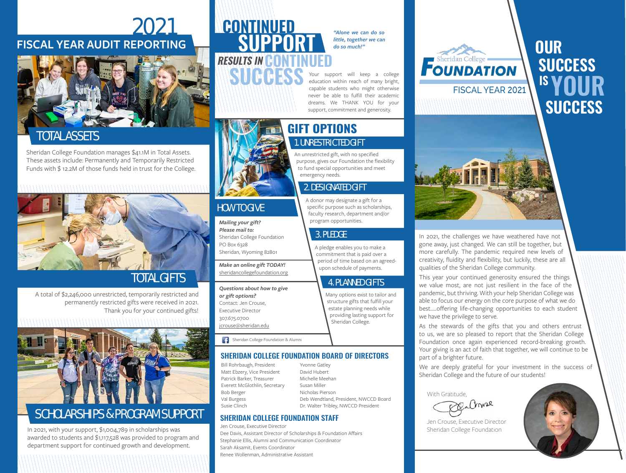## 2021 **FISCAL YEAR AUDIT REPORTING**



## TOTAL ASSETS

Sheridan College Foundation manages \$41.1M in Total Assets. These assets include: Permanently and Temporarily Restricted Funds with \$ 12.2M of those funds held in trust for the College.



# TOTAL GIFTS

A total of \$2,246,000 unrestricted, temporarily restricted and permanently restricted gifts were received in 2021. Thank you for your continued gifts!



## SCHOLARSHIPS & PROGRAM SUPPORT

In 2021, with your support, \$1,004,789 in scholarships was awarded to students and \$1,117,528 was provided to program and department support for continued growth and development.

# **CONTINUED RESULTS IN CO SUPPORT**

**MARES** 

*"Alone we can do so little, together we can do so much!"* 

support will keep a college education within reach of many bright, capable students who might otherwise never be able to fulfill their academic dreams. We THANK YOU for your support, commitment and generosity.

### **GIFT OPTIONS** 1. UNRESTRICTED GIFT

An unrestricted gift, with no specified purpose, gives our Foundation the flexibility to fund special opportunities and meet emergency needs.

### 2. DESIGNATED GIFT

A donor may designate a gift for a specific purpose such as scholarships, faculty research, department and/or program opportunities.

#### 3. PLEDGE

A pledge enables you to make a commitment that is paid over a period of time based on an agreedupon schedule of payments.

#### 4. PLANNED GIFTS

Many options exist to tailor and structure gifts that fulfill your estate planning needs while providing lasting support for Sheridan College.

Sheridan College Foundation & Alumni

#### SHERIDAN COLLEGE FOUNDATION BOARD OF DIRECTORS

Bill Rohrbaugh, President Matt Ebzery, Vice President Patrick Barker, Treasurer Everett McGlothlin, Secretary Bob Berger Val Burgess Susie Clinch

*Mailing your gift? Please mail to:*

HOW TO GIVE

PO Box 6328

*or gift options?* Contact: Jen Crouse, Executive Director 307.675.0700 jcrouse@sheridan.edu

Sheridan College Foundation

*Questions about how to give* 

Sheridan, Wyoming 82801 *Make an online gift TODAY!* sheridancollegefoundation.org

#### SHERIDAN COLLEGE FOUNDATION STAFF

Jen Crouse, Executive Director Dee Davis, Assistant Director of Scholarships & Foundation Affairs Stephanie Ellis, Alumni and Communication Coordinator Sarah Aksamit, Events Coordinator Renee Wollenman, Administrative Assistant

# **FOUNDATION** FISCAL YEAR 2021

**OUR SUCCESS SUCCESS IS YOUR**



In 2021, the challenges we have weathered have not gone away, just changed. We can still be together, but more carefully. The pandemic required new levels of creativity, fluidity and flexibility, but luckily, these are all qualities of the Sheridan College community.

This year your continued generosity ensured the things we value most, are not just resilient in the face of the pandemic, but thriving. With your help Sheridan College was able to focus our energy on the core purpose of what we do best…..offering life-changing opportunities to each student we have the privilege to serve.

As the stewards of the gifts that you and others entrust to us, we are so pleased to report that the Sheridan College Foundation once again experienced record-breaking growth. Your giving is an act of faith that together, we will continue to be part of a brighter future.

We are deeply grateful for your investment in the success of Sheridan College and the future of our students!

With Gratitude,





Jen Crouse, Executive Director Sheridan College Foundation

Yvonne Gatley David Hubert Michelle Meehan

# Susan Miller Nicholas Pierson